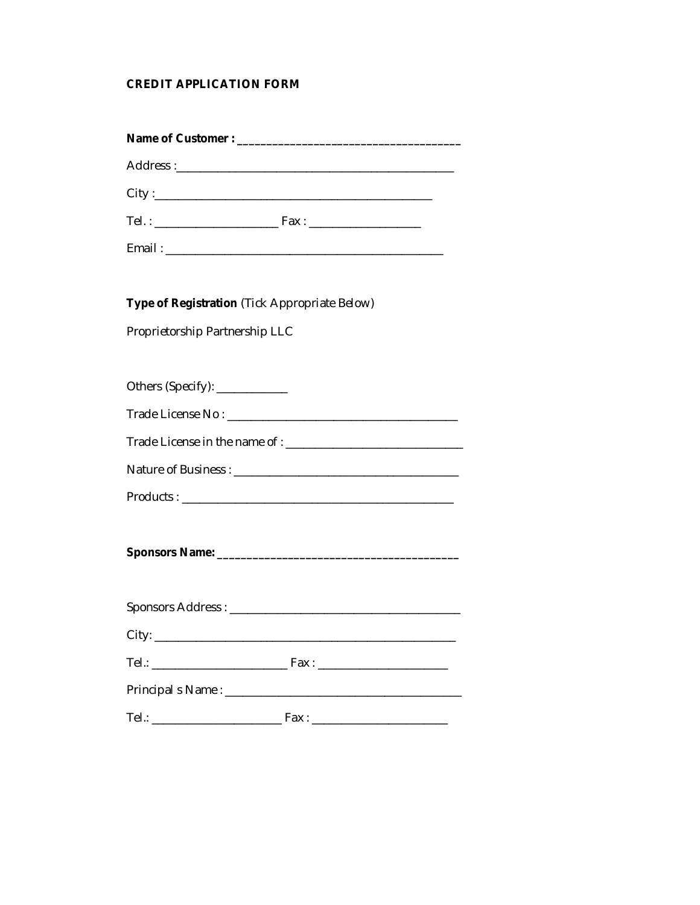# **CREDIT APPLICATION FORM**

| Type of Registration (Tick Appropriate Below) |  |  |  |  |
|-----------------------------------------------|--|--|--|--|
| Proprietorship Partnership LLC                |  |  |  |  |
|                                               |  |  |  |  |
| Others (Specify): ___________                 |  |  |  |  |
|                                               |  |  |  |  |
| Trade License in the name of :                |  |  |  |  |
|                                               |  |  |  |  |
|                                               |  |  |  |  |
|                                               |  |  |  |  |
|                                               |  |  |  |  |
|                                               |  |  |  |  |
|                                               |  |  |  |  |
|                                               |  |  |  |  |
|                                               |  |  |  |  |
|                                               |  |  |  |  |
|                                               |  |  |  |  |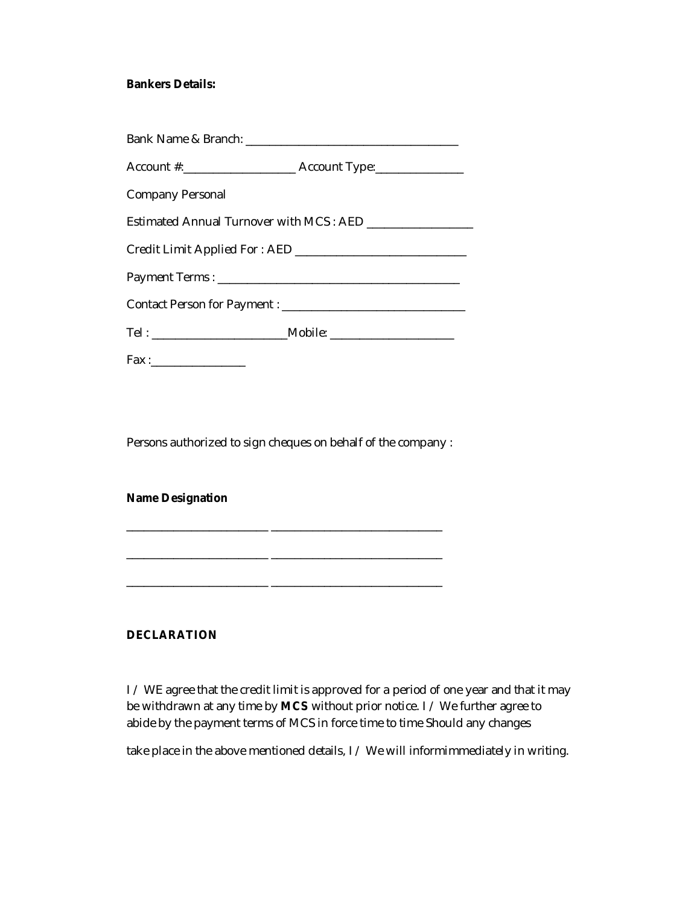### **Bankers Details:**

| Company Personal                                          |
|-----------------------------------------------------------|
| Estimated Annual Turnover with MCS: AED _________________ |
|                                                           |
|                                                           |
|                                                           |
|                                                           |
| $\mathsf{Fax:}\_$                                         |

Persons authorized to sign cheques on behalf of the company :

\_\_\_\_\_\_\_\_\_\_\_\_\_\_\_\_\_\_\_\_\_\_\_\_ \_\_\_\_\_\_\_\_\_\_\_\_\_\_\_\_\_\_\_\_\_\_\_\_\_\_\_\_\_

\_\_\_\_\_\_\_\_\_\_\_\_\_\_\_\_\_\_\_\_\_\_\_\_ \_\_\_\_\_\_\_\_\_\_\_\_\_\_\_\_\_\_\_\_\_\_\_\_\_\_\_\_\_

\_\_\_\_\_\_\_\_\_\_\_\_\_\_\_\_\_\_\_\_\_\_\_\_ \_\_\_\_\_\_\_\_\_\_\_\_\_\_\_\_\_\_\_\_\_\_\_\_\_\_\_\_\_

#### **Name Designation**

### **DECLARATION**

I / WE agree that the credit limit is approved for a period of one year and that it may be withdrawn at any time by **MCS** without prior notice. I / We further agree to abide by the payment terms of MCS in force time to time Should any changes

take place in the above mentioned details, I / We will informimmediately in writing.